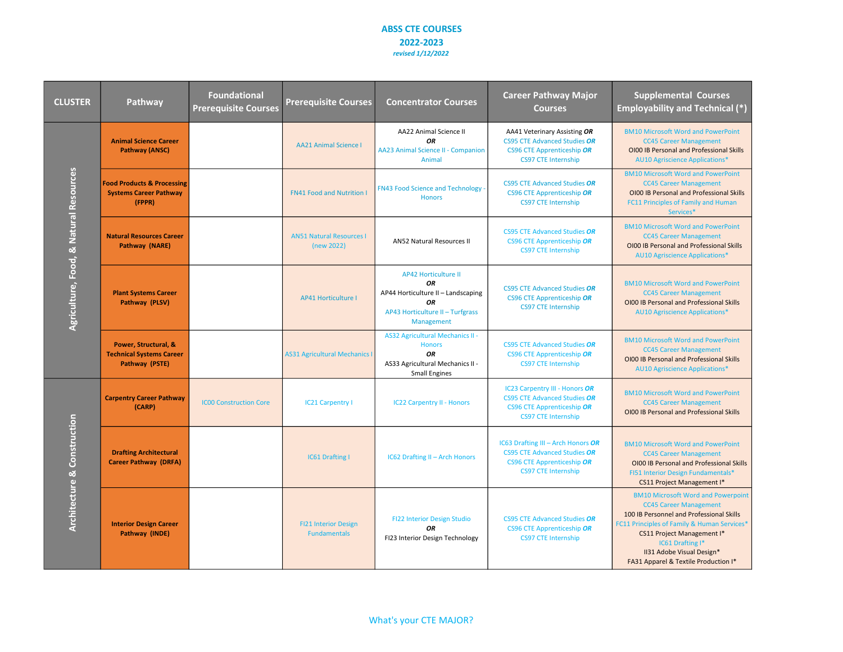| <b>CLUSTER</b>                         | Pathway                                                                          | <b>Foundational</b><br><b>Prerequisite Courses</b> | <b>Prerequisite Courses</b>                        | <b>Concentrator Courses</b>                                                                                                            | <b>Career Pathway Major</b><br><b>Courses</b>                                                                                                | <b>Supplemental Courses</b><br><b>Employability and Technical (*)</b>                                                                                                                                                                                                                        |
|----------------------------------------|----------------------------------------------------------------------------------|----------------------------------------------------|----------------------------------------------------|----------------------------------------------------------------------------------------------------------------------------------------|----------------------------------------------------------------------------------------------------------------------------------------------|----------------------------------------------------------------------------------------------------------------------------------------------------------------------------------------------------------------------------------------------------------------------------------------------|
| Agriculture, Food, & Natural Resources | <b>Animal Science Career</b><br><b>Pathway (ANSC)</b>                            |                                                    | <b>AA21 Animal Science I</b>                       | <b>AA22 Animal Science II</b><br><b>OR</b><br><b>AA23 Animal Science II - Companion</b><br>Animal                                      | AA41 Veterinary Assisting OR<br><b>CS95 CTE Advanced Studies OR</b><br><b>CS96 CTE Apprenticeship OR</b><br><b>CS97 CTE Internship</b>       | <b>BM10 Microsoft Word and PowerPoint</b><br><b>CC45 Career Management</b><br>OI00 IB Personal and Professional Skills<br><b>AU10 Agriscience Applications*</b>                                                                                                                              |
|                                        | <b>Food Products &amp; Processing</b><br><b>Systems Career Pathway</b><br>(FPPR) |                                                    | <b>FN41 Food and Nutrition I</b>                   | <b>FN43 Food Science and Technology</b><br><b>Honors</b>                                                                               | CS95 CTE Advanced Studies OR<br><b>CS96 CTE Apprenticeship OR</b><br><b>CS97 CTE Internship</b>                                              | <b>BM10 Microsoft Word and PowerPoint</b><br><b>CC45 Career Management</b><br>OI00 IB Personal and Professional Skills<br>FC11 Principles of Family and Human<br>Services*                                                                                                                   |
|                                        | <b>Natural Resources Career</b><br>Pathway (NARE)                                |                                                    | <b>AN51 Natural Resources I</b><br>(new 2022)      | <b>AN52 Natural Resources II</b>                                                                                                       | <b>CS95 CTE Advanced Studies OR</b><br><b>CS96 CTE Apprenticeship OR</b><br><b>CS97 CTE Internship</b>                                       | <b>BM10 Microsoft Word and PowerPoint</b><br><b>CC45 Career Management</b><br>OI00 IB Personal and Professional Skills<br><b>AU10 Agriscience Applications*</b>                                                                                                                              |
|                                        | <b>Plant Systems Career</b><br>Pathway (PLSV)                                    |                                                    | <b>AP41 Horticulture I</b>                         | <b>AP42 Horticulture II</b><br><b>OR</b><br>AP44 Horticulture II - Landscaping<br>OR<br>AP43 Horticulture II - Turfgrass<br>Management | <b>CS95 CTE Advanced Studies OR</b><br><b>CS96 CTE Apprenticeship OR</b><br><b>CS97 CTE Internship</b>                                       | <b>BM10 Microsoft Word and PowerPoint</b><br><b>CC45 Career Management</b><br>OI00 IB Personal and Professional Skills<br><b>AU10 Agriscience Applications*</b>                                                                                                                              |
|                                        | Power, Structural, &<br><b>Technical Systems Career</b><br>Pathway (PSTE)        |                                                    | <b>AS31 Agricultural Mechanics I</b>               | <b>AS32 Agricultural Mechanics II -</b><br><b>Honors</b><br><b>OR</b><br>AS33 Agricultural Mechanics II -<br><b>Small Engines</b>      | <b>CS95 CTE Advanced Studies OR</b><br><b>CS96 CTE Apprenticeship OR</b><br><b>CS97 CTE Internship</b>                                       | <b>BM10 Microsoft Word and PowerPoint</b><br><b>CC45 Career Management</b><br>OI00 IB Personal and Professional Skills<br><b>AU10 Agriscience Applications*</b>                                                                                                                              |
| <b>Architecture &amp; Construction</b> | <b>Carpentry Career Pathway</b><br>(CARP)                                        | <b>ICOO Construction Core</b>                      | <b>IC21 Carpentry I</b>                            | <b>IC22 Carpentry II - Honors</b>                                                                                                      | IC23 Carpentry III - Honors OR<br><b>CS95 CTE Advanced Studies OR</b><br><b>CS96 CTE Apprenticeship OR</b><br><b>CS97 CTE Internship</b>     | <b>BM10 Microsoft Word and PowerPoint</b><br><b>CC45 Career Management</b><br>OI00 IB Personal and Professional Skills                                                                                                                                                                       |
|                                        | <b>Drafting Architectural</b><br><b>Career Pathway (DRFA)</b>                    |                                                    | <b>IC61 Drafting I</b>                             | <b>IC62 Drafting II - Arch Honors</b>                                                                                                  | IC63 Drafting III - Arch Honors OR<br><b>CS95 CTE Advanced Studies OR</b><br><b>CS96 CTE Apprenticeship OR</b><br><b>CS97 CTE Internship</b> | <b>BM10 Microsoft Word and PowerPoint</b><br><b>CC45 Career Management</b><br>OI00 IB Personal and Professional Skills<br>FI51 Interior Design Fundamentals*<br>CS11 Project Management I*                                                                                                   |
|                                        | <b>Interior Design Career</b><br>Pathway (INDE)                                  |                                                    | <b>FI21 Interior Design</b><br><b>Fundamentals</b> | FI22 Interior Design Studio<br><b>OR</b><br>FI23 Interior Design Technology                                                            | <b>CS95 CTE Advanced Studies OR</b><br><b>CS96 CTE Apprenticeship OR</b><br><b>CS97 CTE Internship</b>                                       | <b>BM10 Microsoft Word and Powerpoint</b><br><b>CC45 Career Management</b><br>100 IB Personnel and Professional Skills<br>FC11 Principles of Family & Human Services*<br>CS11 Project Management I*<br>IC61 Drafting I*<br>II31 Adobe Visual Design*<br>FA31 Apparel & Textile Production I* |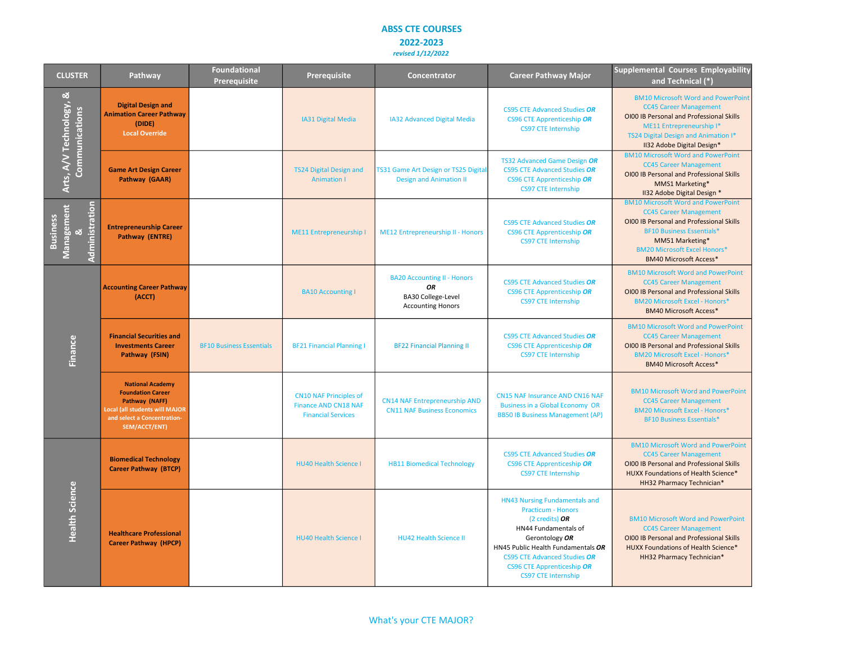| <b>CLUSTER</b>                                       | Pathway                                                                                                                                                        | <b>Foundational</b><br>Prerequisite | Prerequisite                                                                              | Concentrator                                                                                      | <b>Career Pathway Major</b>                                                                                                                                                                                                                                                      | <b>Supplemental Courses Employability</b><br>and Technical (*)                                                                                                                                                                                        |
|------------------------------------------------------|----------------------------------------------------------------------------------------------------------------------------------------------------------------|-------------------------------------|-------------------------------------------------------------------------------------------|---------------------------------------------------------------------------------------------------|----------------------------------------------------------------------------------------------------------------------------------------------------------------------------------------------------------------------------------------------------------------------------------|-------------------------------------------------------------------------------------------------------------------------------------------------------------------------------------------------------------------------------------------------------|
| ಹ<br>Arts, A/V Technology,<br>Communications         | <b>Digital Design and</b><br><b>Animation Career Pathway</b><br>(DIDE)<br><b>Local Override</b>                                                                |                                     | IA31 Digital Media                                                                        | IA32 Advanced Digital Media                                                                       | <b>CS95 CTE Advanced Studies OR</b><br><b>CS96 CTE Apprenticeship OR</b><br><b>CS97 CTE Internship</b>                                                                                                                                                                           | <b>BM10 Microsoft Word and PowerPoint</b><br><b>CC45 Career Management</b><br>OI00 IB Personal and Professional Skills<br>ME11 Entrepreneurship I*<br>TS24 Digital Design and Animation I*<br>II32 Adobe Digital Design*                              |
|                                                      | <b>Game Art Design Career</b><br>Pathway (GAAR)                                                                                                                |                                     | <b>TS24 Digital Design and</b><br><b>Animation I</b>                                      | TS31 Game Art Design or TS25 Digita<br><b>Design and Animation II</b>                             | TS32 Advanced Game Design OR<br><b>CS95 CTE Advanced Studies OR</b><br>CS96 CTE Apprenticeship OR<br><b>CS97 CTE Internship</b>                                                                                                                                                  | <b>BM10 Microsoft Word and PowerPoint</b><br><b>CC45 Career Management</b><br>OI00 IB Personal and Professional Skills<br>MMS1 Marketing*<br>II32 Adobe Digital Design *                                                                              |
| Management<br>Administration<br><b>Business</b><br>ಳ | <b>Entrepreneurship Career</b><br>Pathway (ENTRE)                                                                                                              |                                     | <b>ME11 Entrepreneurship I</b>                                                            | <b>ME12 Entrepreneurship II - Honors</b>                                                          | <b>CS95 CTE Advanced Studies OR</b><br><b>CS96 CTE Apprenticeship OR</b><br><b>CS97 CTE Internship</b>                                                                                                                                                                           | <b>BM10 Microsoft Word and PowerPoint</b><br><b>CC45 Career Management</b><br>OI00 IB Personal and Professional Skills<br><b>BF10 Business Essentials*</b><br>MM51 Marketing*<br><b>BM20 Microsoft Excel Honors*</b><br><b>BM40 Microsoft Access*</b> |
| Finance                                              | <b>Accounting Career Pathway</b><br>(ACCT)                                                                                                                     |                                     | <b>BA10 Accounting I</b>                                                                  | <b>BA20 Accounting II - Honors</b><br><b>OR</b><br>BA30 College-Level<br><b>Accounting Honors</b> | <b>CS95 CTE Advanced Studies OR</b><br>CS96 CTE Apprenticeship OR<br><b>CS97 CTE Internship</b>                                                                                                                                                                                  | <b>BM10 Microsoft Word and PowerPoint</b><br><b>CC45 Career Management</b><br>OI00 IB Personal and Professional Skills<br><b>BM20 Microsoft Excel - Honors*</b><br><b>BM40 Microsoft Access*</b>                                                      |
|                                                      | <b>Financial Securities and</b><br><b>Investments Career</b><br>Pathway (FSIN)                                                                                 | <b>BF10 Business Essentials</b>     | <b>BF21 Financial Planning I</b>                                                          | <b>BF22 Financial Planning II</b>                                                                 | <b>CS95 CTE Advanced Studies OR</b><br><b>CS96 CTE Apprenticeship OR</b><br><b>CS97 CTE Internship</b>                                                                                                                                                                           | <b>BM10 Microsoft Word and PowerPoint</b><br><b>CC45 Career Management</b><br>OI00 IB Personal and Professional Skills<br><b>BM20 Microsoft Excel - Honors*</b><br><b>BM40 Microsoft Access*</b>                                                      |
|                                                      | <b>National Academy</b><br><b>Foundation Career</b><br>Pathway (NAFF)<br><b>Local (all students will MAJOR</b><br>and select a Concentration-<br>SEM/ACCT/ENT) |                                     | <b>CN10 NAF Principles of</b><br><b>Finance AND CN18 NAF</b><br><b>Financial Services</b> | <b>CN14 NAF Entrepreneurship AND</b><br><b>CN11 NAF Business Economics</b>                        | <b>CN15 NAF Insurance AND CN16 NAF</b><br><b>Business in a Global Economy OR</b><br><b>BB50 IB Business Management (AP)</b>                                                                                                                                                      | <b>BM10 Microsoft Word and PowerPoint</b><br><b>CC45 Career Management</b><br><b>BM20 Microsoft Excel - Honors*</b><br><b>BF10 Business Essentials*</b>                                                                                               |
| <b>Health Science</b>                                | <b>Biomedical Technology</b><br><b>Career Pathway (BTCP)</b>                                                                                                   |                                     | <b>HU40 Health Science I</b>                                                              | <b>HB11 Biomedical Technology</b>                                                                 | <b>CS95 CTE Advanced Studies OR</b><br><b>CS96 CTE Apprenticeship OR</b><br><b>CS97 CTE Internship</b>                                                                                                                                                                           | <b>BM10 Microsoft Word and PowerPoint</b><br><b>CC45 Career Management</b><br>OI00 IB Personal and Professional Skills<br>HUXX Foundations of Health Science*<br>HH32 Pharmacy Technician*                                                            |
|                                                      | <b>Healthcare Professional</b><br><b>Career Pathway (HPCP)</b>                                                                                                 |                                     | <b>HU40 Health Science I</b>                                                              | <b>HU42 Health Science II</b>                                                                     | HN43 Nursing Fundamentals and<br><b>Practicum - Honors</b><br>$(2 \text{ credits})$ OR<br>HN44 Fundamentals of<br>Gerontology OR<br>HN45 Public Health Fundamentals OR<br><b>CS95 CTE Advanced Studies OR</b><br><b>CS96 CTE Apprenticeship OR</b><br><b>CS97 CTE Internship</b> | <b>BM10 Microsoft Word and PowerPoint</b><br><b>CC45 Career Management</b><br><b>OI00 IB Personal and Professional Skills</b><br>HUXX Foundations of Health Science*<br>HH32 Pharmacy Technician*                                                     |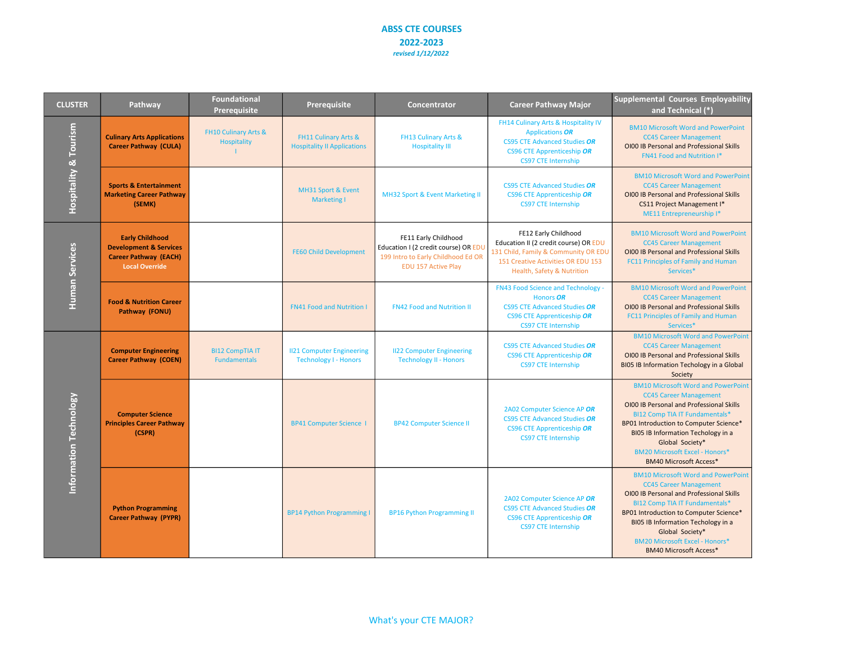| <b>CLUSTER</b>         | Pathway                                                                                                              | <b>Foundational</b><br><b>Prerequisite</b>            | Prerequisite                                                     | Concentrator                                                                                                                     | <b>Career Pathway Major</b>                                                                                                                                               | <b>Supplemental Courses Employability</b><br>and Technical (*)                                                                                                                                                                                                                                                                               |
|------------------------|----------------------------------------------------------------------------------------------------------------------|-------------------------------------------------------|------------------------------------------------------------------|----------------------------------------------------------------------------------------------------------------------------------|---------------------------------------------------------------------------------------------------------------------------------------------------------------------------|----------------------------------------------------------------------------------------------------------------------------------------------------------------------------------------------------------------------------------------------------------------------------------------------------------------------------------------------|
| Hospitality & Tourism  | <b>Culinary Arts Applications</b><br><b>Career Pathway (CULA)</b>                                                    | <b>FH10 Culinary Arts &amp;</b><br><b>Hospitality</b> | FH11 Culinary Arts &<br><b>Hospitality II Applications</b>       | FH13 Culinary Arts &<br><b>Hospitality III</b>                                                                                   | FH14 Culinary Arts & Hospitality IV<br><b>Applications OR</b><br><b>CS95 CTE Advanced Studies OR</b><br><b>CS96 CTE Apprenticeship OR</b><br><b>CS97 CTE Internship</b>   | <b>BM10 Microsoft Word and PowerPoint</b><br><b>CC45 Career Management</b><br>OI00 IB Personal and Professional Skills<br><b>FN41 Food and Nutrition I*</b>                                                                                                                                                                                  |
|                        | <b>Sports &amp; Entertainment</b><br><b>Marketing Career Pathway</b><br>(SEMK)                                       |                                                       | MH31 Sport & Event<br><b>Marketing I</b>                         | MH32 Sport & Event Marketing II                                                                                                  | <b>CS95 CTE Advanced Studies OR</b><br>CS96 CTE Apprenticeship OR<br><b>CS97 CTE Internship</b>                                                                           | <b>BM10 Microsoft Word and PowerPoint</b><br><b>CC45 Career Management</b><br>OI00 IB Personal and Professional Skills<br>CS11 Project Management I*<br>ME11 Entrepreneurship I*                                                                                                                                                             |
| Human Services         | <b>Early Childhood</b><br><b>Development &amp; Services</b><br><b>Career Pathway (EACH)</b><br><b>Local Override</b> |                                                       | <b>FE60 Child Development</b>                                    | FE11 Early Childhood<br>Education I (2 credit course) OR EDU<br>199 Intro to Early Childhood Ed OR<br><b>EDU 157 Active Play</b> | FE12 Early Childhood<br>Education II (2 credit course) OR EDU<br>131 Child, Family & Community OR EDU<br>151 Creative Activities OR EDU 153<br>Health, Safety & Nutrition | <b>BM10 Microsoft Word and PowerPoint</b><br><b>CC45 Career Management</b><br>OI00 IB Personal and Professional Skills<br><b>FC11 Principles of Family and Human</b><br>Services*                                                                                                                                                            |
|                        | <b>Food &amp; Nutrition Career</b><br>Pathway (FONU)                                                                 |                                                       | <b>FN41 Food and Nutrition I</b>                                 | <b>FN42 Food and Nutrition II</b>                                                                                                | <b>FN43 Food Science and Technology -</b><br>Honors OR<br><b>CS95 CTE Advanced Studies OR</b><br><b>CS96 CTE Apprenticeship OR</b><br><b>CS97 CTE Internship</b>          | <b>BM10 Microsoft Word and PowerPoint</b><br><b>CC45 Career Management</b><br>OI00 IB Personal and Professional Skills<br>FC11 Principles of Family and Human<br>Services*                                                                                                                                                                   |
| Information Technology | <b>Computer Engineering</b><br><b>Career Pathway (COEN)</b>                                                          | <b>BI12 CompTIA IT</b><br><b>Fundamentals</b>         | <b>II21 Computer Engineering</b><br><b>Technology I - Honors</b> | <b>II22 Computer Engineering</b><br><b>Technology II - Honors</b>                                                                | <b>CS95 CTE Advanced Studies OR</b><br><b>CS96 CTE Apprenticeship OR</b><br><b>CS97 CTE Internship</b>                                                                    | <b>BM10 Microsoft Word and PowerPoint</b><br><b>CC45 Career Management</b><br>OI00 IB Personal and Professional Skills<br><b>BIO5 IB Information Techology in a Global</b><br>Society                                                                                                                                                        |
|                        | <b>Computer Science</b><br><b>Principles Career Pathway</b><br>(CSPR)                                                |                                                       | <b>BP41 Computer Science 1</b>                                   | <b>BP42 Computer Science II</b>                                                                                                  | 2A02 Computer Science AP OR<br><b>CS95 CTE Advanced Studies OR</b><br><b>CS96 CTE Apprenticeship OR</b><br><b>CS97 CTE Internship</b>                                     | <b>BM10 Microsoft Word and PowerPoint</b><br><b>CC45 Career Management</b><br>OI00 IB Personal and Professional Skills<br><b>BI12 Comp TIA IT Fundamentals*</b><br>BP01 Introduction to Computer Science*<br>BIO5 IB Information Techology in a<br>Global Society*<br><b>BM20 Microsoft Excel - Honors*</b><br><b>BM40 Microsoft Access*</b> |
|                        | <b>Python Programming</b><br><b>Career Pathway (PYPR)</b>                                                            |                                                       | <b>BP14 Python Programming I</b>                                 | <b>BP16 Python Programming II</b>                                                                                                | 2A02 Computer Science AP OR<br><b>CS95 CTE Advanced Studies OR</b><br><b>CS96 CTE Apprenticeship OR</b><br><b>CS97 CTE Internship</b>                                     | <b>BM10 Microsoft Word and PowerPoint</b><br><b>CC45 Career Management</b><br>OI00 IB Personal and Professional Skills<br><b>BI12 Comp TIA IT Fundamentals*</b><br>BP01 Introduction to Computer Science*<br>BIO5 IB Information Techology in a<br>Global Society*<br><b>BM20 Microsoft Excel - Honors*</b><br><b>BM40 Microsoft Access*</b> |